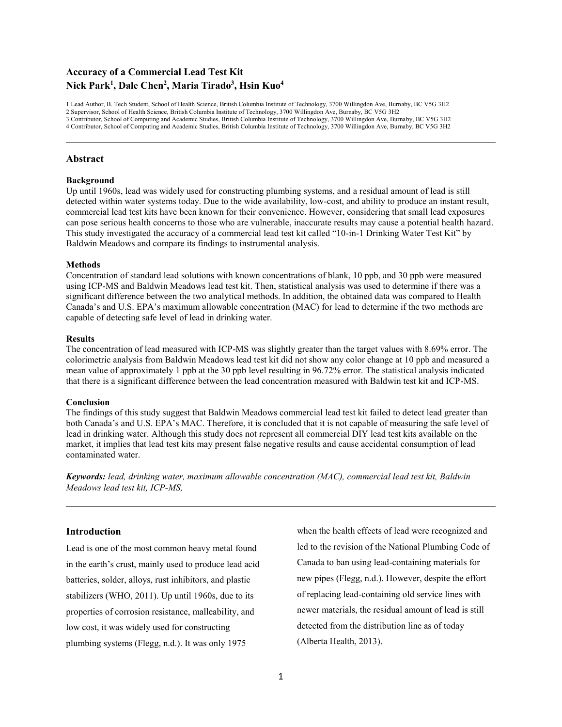# **Accuracy of a Commercial Lead Test Kit Nick Park<sup>1</sup> , Dale Chen<sup>2</sup> , Maria Tirado<sup>3</sup> , Hsin Kuo<sup>4</sup>**

1 Lead Author, B. Tech Student, School of Health Science, British Columbia Institute of Technology, 3700 Willingdon Ave, Burnaby, BC V5G 3H2 2 Supervisor, School of Health Science, British Columbia Institute of Technology, 3700 Willingdon Ave, Burnaby, BC V5G 3H2 3 Contributor, School of Computing and Academic Studies, British Columbia Institute of Technology, 3700 Willingdon Ave, Burnaby, BC V5G 3H2 4 Contributor, School of Computing and Academic Studies, British Columbia Institute of Technology, 3700 Willingdon Ave, Burnaby, BC V5G 3H2

### **Abstract**

#### **Background**

Up until 1960s, lead was widely used for constructing plumbing systems, and a residual amount of lead is still detected within water systems today. Due to the wide availability, low-cost, and ability to produce an instant result, commercial lead test kits have been known for their convenience. However, considering that small lead exposures can pose serious health concerns to those who are vulnerable, inaccurate results may cause a potential health hazard. This study investigated the accuracy of a commercial lead test kit called "10-in-1 Drinking Water Test Kit" by Baldwin Meadows and compare its findings to instrumental analysis.

#### **Methods**

Concentration of standard lead solutions with known concentrations of blank, 10 ppb, and 30 ppb were measured using ICP-MS and Baldwin Meadows lead test kit. Then, statistical analysis was used to determine if there was a significant difference between the two analytical methods. In addition, the obtained data was compared to Health Canada's and U.S. EPA's maximum allowable concentration (MAC) for lead to determine if the two methods are capable of detecting safe level of lead in drinking water.

#### **Results**

The concentration of lead measured with ICP-MS was slightly greater than the target values with 8.69% error. The colorimetric analysis from Baldwin Meadows lead test kit did not show any color change at 10 ppb and measured a mean value of approximately 1 ppb at the 30 ppb level resulting in 96.72% error. The statistical analysis indicated that there is a significant difference between the lead concentration measured with Baldwin test kit and ICP-MS.

#### **Conclusion**

The findings of this study suggest that Baldwin Meadows commercial lead test kit failed to detect lead greater than both Canada's and U.S. EPA's MAC. Therefore, it is concluded that it is not capable of measuring the safe level of lead in drinking water. Although this study does not represent all commercial DIY lead test kits available on the market, it implies that lead test kits may present false negative results and cause accidental consumption of lead contaminated water.

*Keywords: lead, drinking water, maximum allowable concentration (MAC), commercial lead test kit, Baldwin Meadows lead test kit, ICP-MS,* 

## **Introduction**

Lead is one of the most common heavy metal found in the earth's crust, mainly used to produce lead acid batteries, solder, alloys, rust inhibitors, and plastic stabilizers (WHO, 2011). Up until 1960s, due to its properties of corrosion resistance, malleability, and low cost, it was widely used for constructing plumbing systems (Flegg, n.d.). It was only 1975

when the health effects of lead were recognized and led to the revision of the National Plumbing Code of Canada to ban using lead-containing materials for new pipes (Flegg, n.d.). However, despite the effort of replacing lead-containing old service lines with newer materials, the residual amount of lead is still detected from the distribution line as of today (Alberta Health, 2013).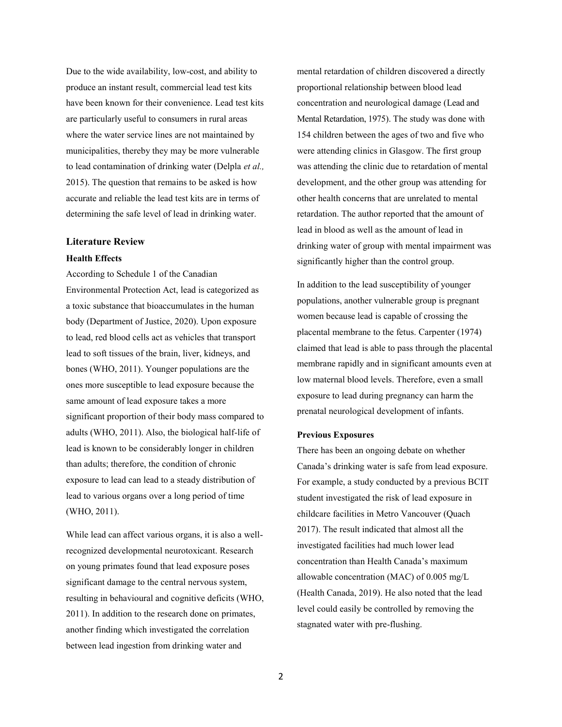Due to the wide availability, low-cost, and ability to produce an instant result, commercial lead test kits have been known for their convenience. Lead test kits are particularly useful to consumers in rural areas where the water service lines are not maintained by municipalities, thereby they may be more vulnerable to lead contamination of drinking water (Delpla *et al.,*  2015). The question that remains to be asked is how accurate and reliable the lead test kits are in terms of determining the safe level of lead in drinking water.

# **Literature Review**

# **Health Effects**

According to Schedule 1 of the Canadian Environmental Protection Act, lead is categorized as a toxic substance that bioaccumulates in the human body (Department of Justice, 2020). Upon exposure to lead, red blood cells act as vehicles that transport lead to soft tissues of the brain, liver, kidneys, and bones (WHO, 2011). Younger populations are the ones more susceptible to lead exposure because the same amount of lead exposure takes a more significant proportion of their body mass compared to adults (WHO, 2011). Also, the biological half-life of lead is known to be considerably longer in children than adults; therefore, the condition of chronic exposure to lead can lead to a steady distribution of lead to various organs over a long period of time (WHO, 2011).

While lead can affect various organs, it is also a wellrecognized developmental neurotoxicant. Research on young primates found that lead exposure poses significant damage to the central nervous system, resulting in behavioural and cognitive deficits (WHO, 2011). In addition to the research done on primates, another finding which investigated the correlation between lead ingestion from drinking water and

mental retardation of children discovered a directly proportional relationship between blood lead concentration and neurological damage (Lead and Mental Retardation, 1975). The study was done with 154 children between the ages of two and five who were attending clinics in Glasgow. The first group was attending the clinic due to retardation of mental development, and the other group was attending for other health concerns that are unrelated to mental retardation. The author reported that the amount of lead in blood as well as the amount of lead in drinking water of group with mental impairment was significantly higher than the control group.

In addition to the lead susceptibility of younger populations, another vulnerable group is pregnant women because lead is capable of crossing the placental membrane to the fetus. Carpenter (1974) claimed that lead is able to pass through the placental membrane rapidly and in significant amounts even at low maternal blood levels. Therefore, even a small exposure to lead during pregnancy can harm the prenatal neurological development of infants.

### **Previous Exposures**

There has been an ongoing debate on whether Canada's drinking water is safe from lead exposure. For example, a study conducted by a previous BCIT student investigated the risk of lead exposure in childcare facilities in Metro Vancouver (Quach 2017). The result indicated that almost all the investigated facilities had much lower lead concentration than Health Canada's maximum allowable concentration (MAC) of 0.005 mg/L (Health Canada, 2019). He also noted that the lead level could easily be controlled by removing the stagnated water with pre-flushing.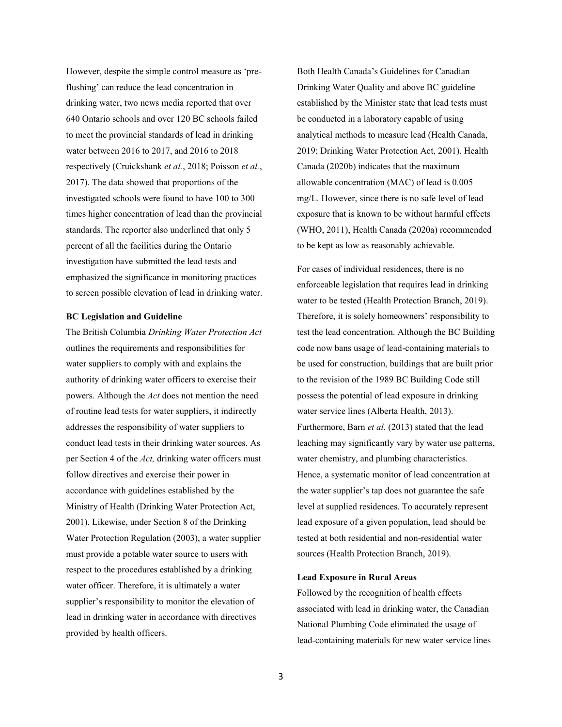However, despite the simple control measure as 'preflushing' can reduce the lead concentration in drinking water, two news media reported that over 640 Ontario schools and over 120 BC schools failed to meet the provincial standards of lead in drinking water between 2016 to 2017, and 2016 to 2018 respectively (Cruickshank *et al.*, 2018; Poisson *et al.*, 2017). The data showed that proportions of the investigated schools were found to have 100 to 300 times higher concentration of lead than the provincial standards. The reporter also underlined that only 5 percent of all the facilities during the Ontario investigation have submitted the lead tests and emphasized the significance in monitoring practices to screen possible elevation of lead in drinking water.

# **BC Legislation and Guideline**

The British Columbia *Drinking Water Protection Act* outlines the requirements and responsibilities for water suppliers to comply with and explains the authority of drinking water officers to exercise their powers. Although the *Act* does not mention the need of routine lead tests for water suppliers, it indirectly addresses the responsibility of water suppliers to conduct lead tests in their drinking water sources. As per Section 4 of the *Act,* drinking water officers must follow directives and exercise their power in accordance with guidelines established by the Ministry of Health (Drinking Water Protection Act, 2001). Likewise, under Section 8 of the Drinking Water Protection Regulation (2003), a water supplier must provide a potable water source to users with respect to the procedures established by a drinking water officer. Therefore, it is ultimately a water supplier's responsibility to monitor the elevation of lead in drinking water in accordance with directives provided by health officers.

Both Health Canada's Guidelines for Canadian Drinking Water Quality and above BC guideline established by the Minister state that lead tests must be conducted in a laboratory capable of using analytical methods to measure lead (Health Canada, 2019; Drinking Water Protection Act, 2001). Health Canada (2020b) indicates that the maximum allowable concentration (MAC) of lead is 0.005 mg/L. However, since there is no safe level of lead exposure that is known to be without harmful effects (WHO, 2011), Health Canada (2020a) recommended to be kept as low as reasonably achievable.

For cases of individual residences, there is no enforceable legislation that requires lead in drinking water to be tested (Health Protection Branch, 2019). Therefore, it is solely homeowners' responsibility to test the lead concentration. Although the BC Building code now bans usage of lead-containing materials to be used for construction, buildings that are built prior to the revision of the 1989 BC Building Code still possess the potential of lead exposure in drinking water service lines (Alberta Health, 2013). Furthermore, Barn *et al.* (2013) stated that the lead leaching may significantly vary by water use patterns, water chemistry, and plumbing characteristics. Hence, a systematic monitor of lead concentration at the water supplier's tap does not guarantee the safe level at supplied residences. To accurately represent lead exposure of a given population, lead should be tested at both residential and non-residential water sources (Health Protection Branch, 2019).

### **Lead Exposure in Rural Areas**

Followed by the recognition of health effects associated with lead in drinking water, the Canadian National Plumbing Code eliminated the usage of lead-containing materials for new water service lines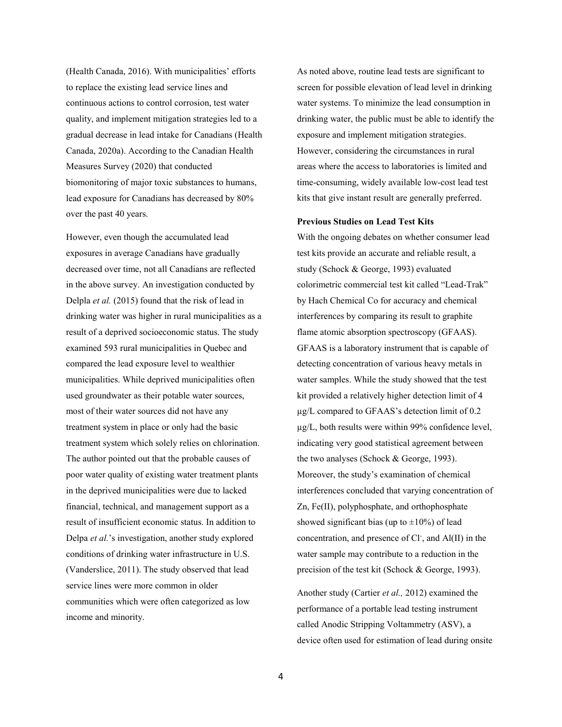(Health Canada, 2016). With municipalities' efforts to replace the existing lead service lines and continuous actions to control corrosion, test water quality, and implement mitigation strategies led to a gradual decrease in lead intake for Canadians (Health Canada, 2020a). According to the Canadian Health Measures Survey (2020) that conducted biomonitoring of major toxic substances to humans, lead exposure for Canadians has decreased by 80% over the past 40 years.

However, even though the accumulated lead exposures in average Canadians have gradually decreased over time, not all Canadians are reflected in the above survey. An investigation conducted by Delpla *et al.* (2015) found that the risk of lead in drinking water was higher in rural municipalities as a result of a deprived socioeconomic status. The study examined 593 rural municipalities in Quebec and compared the lead exposure level to wealthier municipalities. While deprived municipalities often used groundwater as their potable water sources, most of their water sources did not have any treatment system in place or only had the basic treatment system which solely relies on chlorination. The author pointed out that the probable causes of poor water quality of existing water treatment plants in the deprived municipalities were due to lacked financial, technical, and management support as a result of insufficient economic status. In addition to Delpa *et al.*'s investigation, another study explored conditions of drinking water infrastructure in U.S. (Vanderslice, 2011). The study observed that lead service lines were more common in older communities which were often categorized as low income and minority.

As noted above, routine lead tests are significant to screen for possible elevation of lead level in drinking water systems. To minimize the lead consumption in drinking water, the public must be able to identify the exposure and implement mitigation strategies. However, considering the circumstances in rural areas where the access to laboratories is limited and time-consuming, widely available low-cost lead test kits that give instant result are generally preferred.

### **Previous Studies on Lead Test Kits**

With the ongoing debates on whether consumer lead test kits provide an accurate and reliable result, a study (Schock & George, 1993) evaluated colorimetric commercial test kit called "Lead-Trak" by Hach Chemical Co for accuracy and chemical interferences by comparing its result to graphite flame atomic absorption spectroscopy (GFAAS). GFAAS is a laboratory instrument that is capable of detecting concentration of various heavy metals in water samples. While the study showed that the test kit provided a relatively higher detection limit of 4 µg/L compared to GFAAS's detection limit of 0.2 µg/L, both results were within 99% confidence level, indicating very good statistical agreement between the two analyses (Schock & George, 1993). Moreover, the study's examination of chemical interferences concluded that varying concentration of Zn, Fe(II), polyphosphate, and orthophosphate showed significant bias (up to  $\pm 10\%$ ) of lead concentration, and presence of Cl<sup>-</sup>, and Al(II) in the water sample may contribute to a reduction in the precision of the test kit (Schock & George, 1993).

Another study (Cartier *et al.,* 2012) examined the performance of a portable lead testing instrument called Anodic Stripping Voltammetry (ASV), a device often used for estimation of lead during onsite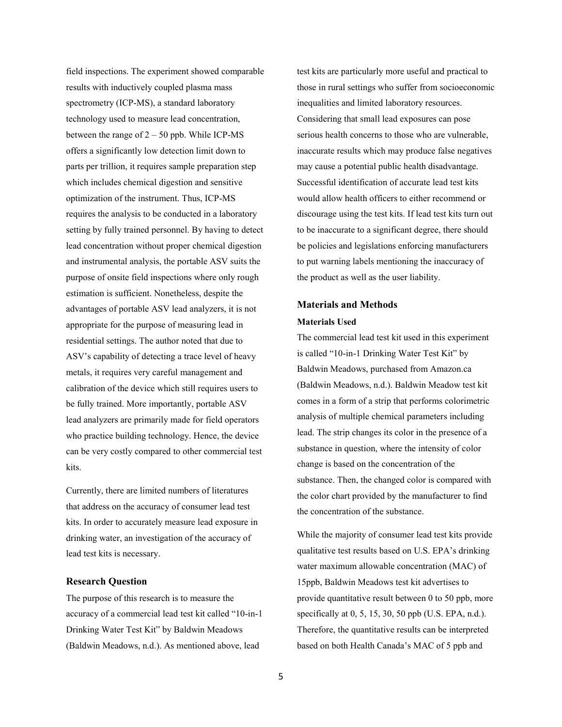field inspections. The experiment showed comparable results with inductively coupled plasma mass spectrometry (ICP-MS), a standard laboratory technology used to measure lead concentration, between the range of  $2 - 50$  ppb. While ICP-MS offers a significantly low detection limit down to parts per trillion, it requires sample preparation step which includes chemical digestion and sensitive optimization of the instrument. Thus, ICP-MS requires the analysis to be conducted in a laboratory setting by fully trained personnel. By having to detect lead concentration without proper chemical digestion and instrumental analysis, the portable ASV suits the purpose of onsite field inspections where only rough estimation is sufficient. Nonetheless, despite the advantages of portable ASV lead analyzers, it is not appropriate for the purpose of measuring lead in residential settings. The author noted that due to ASV's capability of detecting a trace level of heavy metals, it requires very careful management and calibration of the device which still requires users to be fully trained. More importantly, portable ASV lead analyzers are primarily made for field operators who practice building technology. Hence, the device can be very costly compared to other commercial test kits.

Currently, there are limited numbers of literatures that address on the accuracy of consumer lead test kits. In order to accurately measure lead exposure in drinking water, an investigation of the accuracy of lead test kits is necessary.

### **Research Question**

The purpose of this research is to measure the accuracy of a commercial lead test kit called "10-in-1 Drinking Water Test Kit" by Baldwin Meadows (Baldwin Meadows, n.d.). As mentioned above, lead

test kits are particularly more useful and practical to those in rural settings who suffer from socioeconomic inequalities and limited laboratory resources. Considering that small lead exposures can pose serious health concerns to those who are vulnerable, inaccurate results which may produce false negatives may cause a potential public health disadvantage. Successful identification of accurate lead test kits would allow health officers to either recommend or discourage using the test kits. If lead test kits turn out to be inaccurate to a significant degree, there should be policies and legislations enforcing manufacturers to put warning labels mentioning the inaccuracy of the product as well as the user liability.

# **Materials and Methods Materials Used**

The commercial lead test kit used in this experiment is called "10-in-1 Drinking Water Test Kit" by Baldwin Meadows, purchased from Amazon.ca (Baldwin Meadows, n.d.). Baldwin Meadow test kit comes in a form of a strip that performs colorimetric analysis of multiple chemical parameters including lead. The strip changes its color in the presence of a substance in question, where the intensity of color change is based on the concentration of the substance. Then, the changed color is compared with the color chart provided by the manufacturer to find the concentration of the substance.

While the majority of consumer lead test kits provide qualitative test results based on U.S. EPA's drinking water maximum allowable concentration (MAC) of 15ppb, Baldwin Meadows test kit advertises to provide quantitative result between 0 to 50 ppb, more specifically at 0, 5, 15, 30, 50 ppb (U.S. EPA, n.d.). Therefore, the quantitative results can be interpreted based on both Health Canada's MAC of 5 ppb and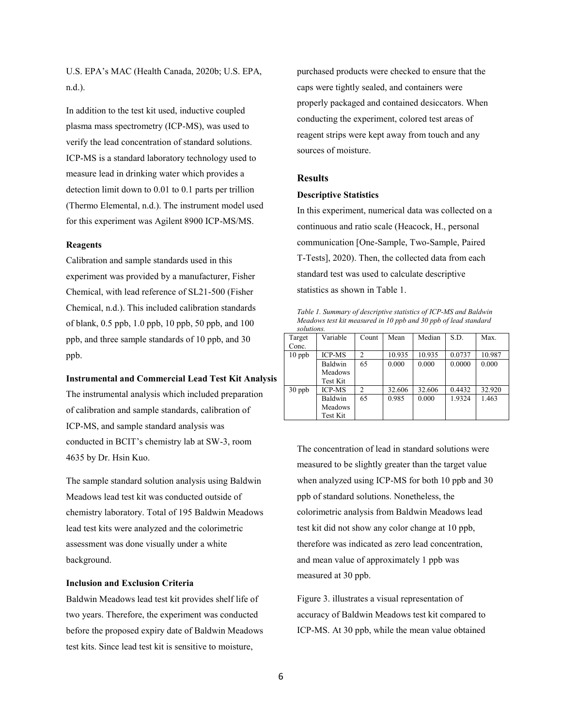U.S. EPA's MAC (Health Canada, 2020b; U.S. EPA, n.d.).

In addition to the test kit used, inductive coupled plasma mass spectrometry (ICP-MS), was used to verify the lead concentration of standard solutions. ICP-MS is a standard laboratory technology used to measure lead in drinking water which provides a detection limit down to 0.01 to 0.1 parts per trillion (Thermo Elemental, n.d.). The instrument model used for this experiment was Agilent 8900 ICP-MS/MS.

### **Reagents**

Calibration and sample standards used in this experiment was provided by a manufacturer, Fisher Chemical, with lead reference of SL21-500 (Fisher Chemical, n.d.). This included calibration standards of blank, 0.5 ppb, 1.0 ppb, 10 ppb, 50 ppb, and 100 ppb, and three sample standards of 10 ppb, and 30 ppb.

# **Instrumental and Commercial Lead Test Kit Analysis**

The instrumental analysis which included preparation of calibration and sample standards, calibration of ICP-MS, and sample standard analysis was conducted in BCIT's chemistry lab at SW-3, room 4635 by Dr. Hsin Kuo.

The sample standard solution analysis using Baldwin Meadows lead test kit was conducted outside of chemistry laboratory. Total of 195 Baldwin Meadows lead test kits were analyzed and the colorimetric assessment was done visually under a white background.

#### **Inclusion and Exclusion Criteria**

Baldwin Meadows lead test kit provides shelf life of two years. Therefore, the experiment was conducted before the proposed expiry date of Baldwin Meadows test kits. Since lead test kit is sensitive to moisture,

purchased products were checked to ensure that the caps were tightly sealed, and containers were properly packaged and contained desiccators. When conducting the experiment, colored test areas of reagent strips were kept away from touch and any sources of moisture.

# **Results**

#### **Descriptive Statistics**

In this experiment, numerical data was collected on a continuous and ratio scale (Heacock, H., personal communication [One-Sample, Two-Sample, Paired T-Tests], 2020). Then, the collected data from each standard test was used to calculate descriptive statistics as shown in Table 1.

*Table 1. Summary of descriptive statistics of ICP-MS and Baldwin Meadows test kit measured in 10 ppb and 30 ppb of lead standard solutions.*

| Target   | Variable       | Count          | Mean   | Median | S.D.   | Max.   |
|----------|----------------|----------------|--------|--------|--------|--------|
| Conc.    |                |                |        |        |        |        |
| $10$ ppb | <b>ICP-MS</b>  | $\mathfrak{D}$ | 10.935 | 10.935 | 0.0737 | 10.987 |
|          | Baldwin        | 65             | 0.000  | 0.000  | 0.0000 | 0.000  |
|          | <b>Meadows</b> |                |        |        |        |        |
|          | Test Kit       |                |        |        |        |        |
| $30$ ppb | <b>ICP-MS</b>  | 2              | 32.606 | 32.606 | 0.4432 | 32.920 |
|          | Baldwin        | 65             | 0.985  | 0.000  | 1.9324 | 1.463  |
|          | <b>Meadows</b> |                |        |        |        |        |
|          | Test Kit       |                |        |        |        |        |

The concentration of lead in standard solutions were measured to be slightly greater than the target value when analyzed using ICP-MS for both 10 ppb and 30 ppb of standard solutions. Nonetheless, the colorimetric analysis from Baldwin Meadows lead test kit did not show any color change at 10 ppb, therefore was indicated as zero lead concentration, and mean value of approximately 1 ppb was measured at 30 ppb.

Figure 3. illustrates a visual representation of accuracy of Baldwin Meadows test kit compared to ICP-MS. At 30 ppb, while the mean value obtained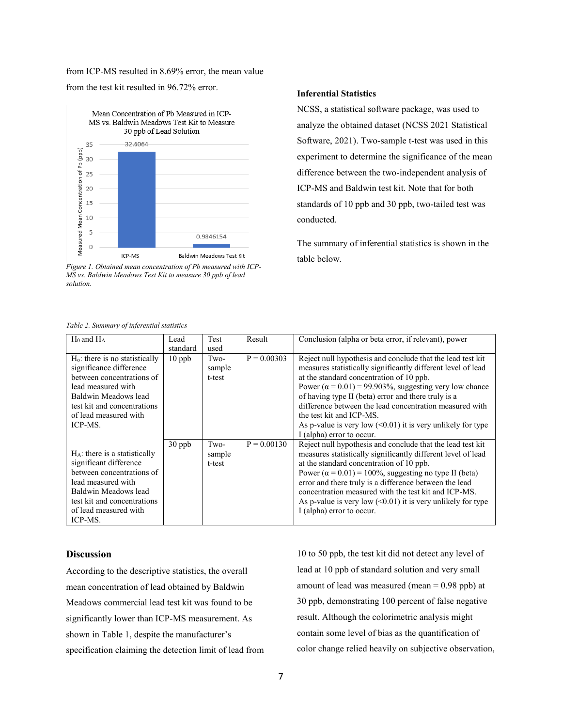from ICP-MS resulted in 8.69% error, the mean value from the test kit resulted in 96.72% error.



*Figure 1. Obtained mean concentration of Pb measured with ICP-MS vs. Baldwin Meadows Test Kit to measure 30 ppb of lead solution.*

#### *Table 2. Summary of inferential statistics*

### **Inferential Statistics**

NCSS, a statistical software package, was used to analyze the obtained dataset (NCSS 2021 Statistical Software, 2021). Two-sample t-test was used in this experiment to determine the significance of the mean difference between the two-independent analysis of ICP-MS and Baldwin test kit. Note that for both standards of 10 ppb and 30 ppb, two-tailed test was conducted.

The summary of inferential statistics is shown in the table below.

| raoie 2. Sammary of inferential statistics                                                                                                                                                                |          |                          |               |                                                                                                                                                                                                                                                                                                                                                                                                                                                                                           |  |  |  |  |
|-----------------------------------------------------------------------------------------------------------------------------------------------------------------------------------------------------------|----------|--------------------------|---------------|-------------------------------------------------------------------------------------------------------------------------------------------------------------------------------------------------------------------------------------------------------------------------------------------------------------------------------------------------------------------------------------------------------------------------------------------------------------------------------------------|--|--|--|--|
| $H_0$ and $H_A$                                                                                                                                                                                           | Lead     | Test                     | Result        | Conclusion (alpha or beta error, if relevant), power                                                                                                                                                                                                                                                                                                                                                                                                                                      |  |  |  |  |
|                                                                                                                                                                                                           | standard | used                     |               |                                                                                                                                                                                                                                                                                                                                                                                                                                                                                           |  |  |  |  |
| $Ho$ : there is no statistically<br>significance difference<br>between concentrations of<br>lead measured with<br>Baldwin Meadows lead<br>test kit and concentrations<br>of lead measured with<br>ICP-MS. | $10$ ppb | Two-<br>sample<br>t-test | $P = 0.00303$ | Reject null hypothesis and conclude that the lead test kit<br>measures statistically significantly different level of lead<br>at the standard concentration of 10 ppb.<br>Power $(\alpha = 0.01) = 99.903\%$ , suggesting very low chance<br>of having type II (beta) error and there truly is a<br>difference between the lead concentration measured with<br>the test kit and ICP-MS.<br>As p-value is very low $(\leq 0.01)$ it is very unlikely for type<br>I (alpha) error to occur. |  |  |  |  |
| $H_A$ : there is a statistically<br>significant difference<br>between concentrations of<br>lead measured with<br>Baldwin Meadows lead<br>test kit and concentrations<br>of lead measured with<br>ICP-MS.  | $30$ ppb | Two-<br>sample<br>t-test | $P = 0.00130$ | Reject null hypothesis and conclude that the lead test kit<br>measures statistically significantly different level of lead<br>at the standard concentration of 10 ppb.<br>Power $(\alpha = 0.01) = 100\%$ , suggesting no type II (beta)<br>error and there truly is a difference between the lead<br>concentration measured with the test kit and ICP-MS.<br>As p-value is very low $(0.01)$ it is very unlikely for type<br>I (alpha) error to occur.                                   |  |  |  |  |

### **Discussion**

According to the descriptive statistics, the overall mean concentration of lead obtained by Baldwin Meadows commercial lead test kit was found to be significantly lower than ICP-MS measurement. As shown in Table 1, despite the manufacturer's specification claiming the detection limit of lead from

10 to 50 ppb, the test kit did not detect any level of lead at 10 ppb of standard solution and very small amount of lead was measured (mean = 0.98 ppb) at 30 ppb, demonstrating 100 percent of false negative result. Although the colorimetric analysis might contain some level of bias as the quantification of color change relied heavily on subjective observation,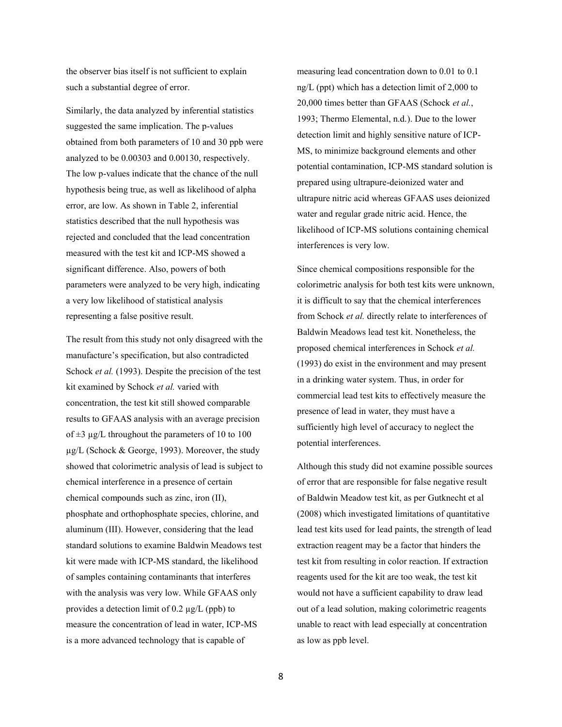the observer bias itself is not sufficient to explain such a substantial degree of error.

Similarly, the data analyzed by inferential statistics suggested the same implication. The p-values obtained from both parameters of 10 and 30 ppb were analyzed to be 0.00303 and 0.00130, respectively. The low p-values indicate that the chance of the null hypothesis being true, as well as likelihood of alpha error, are low. As shown in Table 2, inferential statistics described that the null hypothesis was rejected and concluded that the lead concentration measured with the test kit and ICP-MS showed a significant difference. Also, powers of both parameters were analyzed to be very high, indicating a very low likelihood of statistical analysis representing a false positive result.

The result from this study not only disagreed with the manufacture's specification, but also contradicted Schock *et al.* (1993). Despite the precision of the test kit examined by Schock *et al.* varied with concentration, the test kit still showed comparable results to GFAAS analysis with an average precision of  $\pm 3$  µg/L throughout the parameters of 10 to 100 µg/L (Schock & George, 1993). Moreover, the study showed that colorimetric analysis of lead is subject to chemical interference in a presence of certain chemical compounds such as zinc, iron (II), phosphate and orthophosphate species, chlorine, and aluminum (III). However, considering that the lead standard solutions to examine Baldwin Meadows test kit were made with ICP-MS standard, the likelihood of samples containing contaminants that interferes with the analysis was very low. While GFAAS only provides a detection limit of 0.2 µg/L (ppb) to measure the concentration of lead in water, ICP-MS is a more advanced technology that is capable of

measuring lead concentration down to 0.01 to 0.1 ng/L (ppt) which has a detection limit of 2,000 to 20,000 times better than GFAAS (Schock *et al.*, 1993; Thermo Elemental, n.d.). Due to the lower detection limit and highly sensitive nature of ICP-MS, to minimize background elements and other potential contamination, ICP-MS standard solution is prepared using ultrapure-deionized water and ultrapure nitric acid whereas GFAAS uses deionized water and regular grade nitric acid. Hence, the likelihood of ICP-MS solutions containing chemical interferences is very low.

Since chemical compositions responsible for the colorimetric analysis for both test kits were unknown, it is difficult to say that the chemical interferences from Schock *et al.* directly relate to interferences of Baldwin Meadows lead test kit. Nonetheless, the proposed chemical interferences in Schock *et al.*  (1993) do exist in the environment and may present in a drinking water system. Thus, in order for commercial lead test kits to effectively measure the presence of lead in water, they must have a sufficiently high level of accuracy to neglect the potential interferences.

Although this study did not examine possible sources of error that are responsible for false negative result of Baldwin Meadow test kit, as per Gutknecht et al (2008) which investigated limitations of quantitative lead test kits used for lead paints, the strength of lead extraction reagent may be a factor that hinders the test kit from resulting in color reaction. If extraction reagents used for the kit are too weak, the test kit would not have a sufficient capability to draw lead out of a lead solution, making colorimetric reagents unable to react with lead especially at concentration as low as ppb level.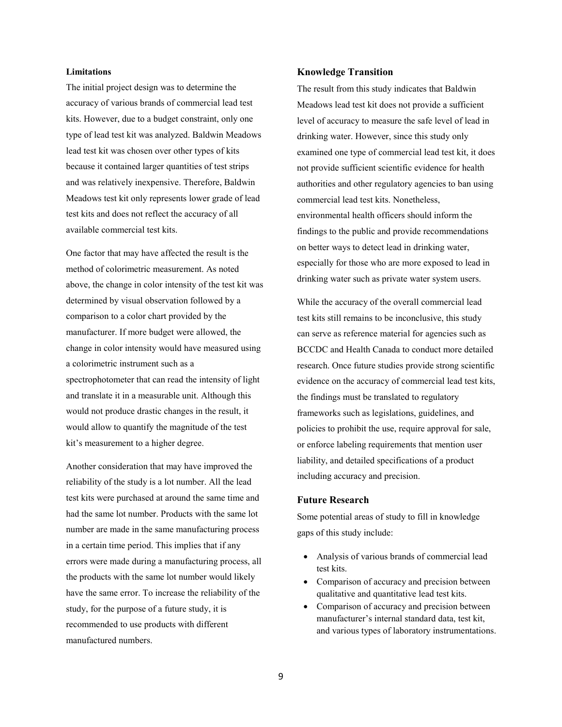# **Limitations**

The initial project design was to determine the accuracy of various brands of commercial lead test kits. However, due to a budget constraint, only one type of lead test kit was analyzed. Baldwin Meadows lead test kit was chosen over other types of kits because it contained larger quantities of test strips and was relatively inexpensive. Therefore, Baldwin Meadows test kit only represents lower grade of lead test kits and does not reflect the accuracy of all available commercial test kits.

One factor that may have affected the result is the method of colorimetric measurement. As noted above, the change in color intensity of the test kit was determined by visual observation followed by a comparison to a color chart provided by the manufacturer. If more budget were allowed, the change in color intensity would have measured using a colorimetric instrument such as a spectrophotometer that can read the intensity of light and translate it in a measurable unit. Although this would not produce drastic changes in the result, it would allow to quantify the magnitude of the test kit's measurement to a higher degree.

Another consideration that may have improved the reliability of the study is a lot number. All the lead test kits were purchased at around the same time and had the same lot number. Products with the same lot number are made in the same manufacturing process in a certain time period. This implies that if any errors were made during a manufacturing process, all the products with the same lot number would likely have the same error. To increase the reliability of the study, for the purpose of a future study, it is recommended to use products with different manufactured numbers.

#### **Knowledge Transition**

The result from this study indicates that Baldwin Meadows lead test kit does not provide a sufficient level of accuracy to measure the safe level of lead in drinking water. However, since this study only examined one type of commercial lead test kit, it does not provide sufficient scientific evidence for health authorities and other regulatory agencies to ban using commercial lead test kits. Nonetheless, environmental health officers should inform the findings to the public and provide recommendations on better ways to detect lead in drinking water, especially for those who are more exposed to lead in drinking water such as private water system users.

While the accuracy of the overall commercial lead test kits still remains to be inconclusive, this study can serve as reference material for agencies such as BCCDC and Health Canada to conduct more detailed research. Once future studies provide strong scientific evidence on the accuracy of commercial lead test kits, the findings must be translated to regulatory frameworks such as legislations, guidelines, and policies to prohibit the use, require approval for sale, or enforce labeling requirements that mention user liability, and detailed specifications of a product including accuracy and precision.

# **Future Research**

Some potential areas of study to fill in knowledge gaps of this study include:

- Analysis of various brands of commercial lead test kits.
- Comparison of accuracy and precision between qualitative and quantitative lead test kits.
- Comparison of accuracy and precision between manufacturer's internal standard data, test kit, and various types of laboratory instrumentations.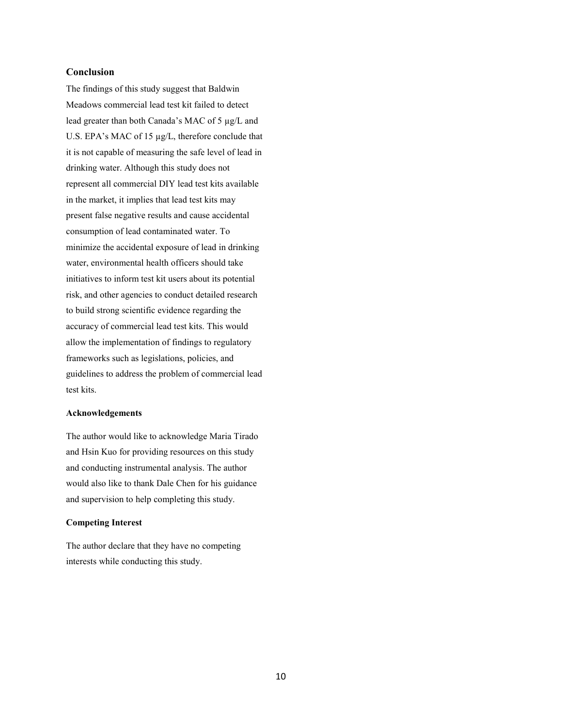# **Conclusion**

The findings of this study suggest that Baldwin Meadows commercial lead test kit failed to detect lead greater than both Canada's MAC of 5 µg/L and U.S. EPA's MAC of 15 µg/L, therefore conclude that it is not capable of measuring the safe level of lead in drinking water. Although this study does not represent all commercial DIY lead test kits available in the market, it implies that lead test kits may present false negative results and cause accidental consumption of lead contaminated water. To minimize the accidental exposure of lead in drinking water, environmental health officers should take initiatives to inform test kit users about its potential risk, and other agencies to conduct detailed research to build strong scientific evidence regarding the accuracy of commercial lead test kits. This would allow the implementation of findings to regulatory frameworks such as legislations, policies, and guidelines to address the problem of commercial lead test kits.

#### **Acknowledgements**

The author would like to acknowledge Maria Tirado and Hsin Kuo for providing resources on this study and conducting instrumental analysis. The author would also like to thank Dale Chen for his guidance and supervision to help completing this study.

#### **Competing Interest**

The author declare that they have no competing interests while conducting this study.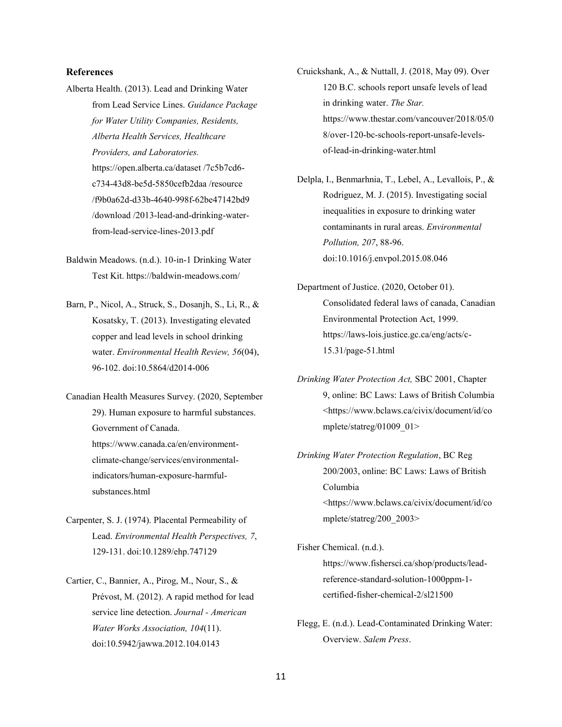# **References**

- Alberta Health. (2013). Lead and Drinking Water from Lead Service Lines. *Guidance Package for Water Utility Companies, Residents, Alberta Health Services, Healthcare Providers, and Laboratories.* https://open.alberta.ca/dataset /7c5b7cd6 c734-43d8-be5d-5850cefb2daa /resource /f9b0a62d-d33b-4640-998f-62be47142bd9 /download /2013-lead-and-drinking-waterfrom-lead-service-lines-2013.pdf
- Baldwin Meadows. (n.d.). 10-in-1 Drinking Water Test Kit. https://baldwin-meadows.com/
- Barn, P., Nicol, A., Struck, S., Dosanjh, S., Li, R., & Kosatsky, T. (2013). Investigating elevated copper and lead levels in school drinking water. *Environmental Health Review, 56*(04), 96-102. doi:10.5864/d2014-006
- Canadian Health Measures Survey. (2020, September 29). Human exposure to harmful substances. Government of Canada. https://www.canada.ca/en/environmentclimate-change/services/environmentalindicators/human-exposure-harmfulsubstances.html
- Carpenter, S. J. (1974). Placental Permeability of Lead. *Environmental Health Perspectives, 7*, 129-131. doi:10.1289/ehp.747129
- Cartier, C., Bannier, A., Pirog, M., Nour, S., & Prévost, M. (2012). A rapid method for lead service line detection. *Journal - American Water Works Association, 104*(11). doi:10.5942/jawwa.2012.104.0143
- Cruickshank, A., & Nuttall, J. (2018, May 09). Over 120 B.C. schools report unsafe levels of lead in drinking water. *The Star.*  https://www.thestar.com/vancouver/2018/05/0 8/over-120-bc-schools-report-unsafe-levelsof-lead-in-drinking-water.html
- Delpla, I., Benmarhnia, T., Lebel, A., Levallois, P., & Rodriguez, M. J. (2015). Investigating social inequalities in exposure to drinking water contaminants in rural areas. *Environmental Pollution, 207*, 88-96. doi:10.1016/j.envpol.2015.08.046
- Department of Justice. (2020, October 01). Consolidated federal laws of canada, Canadian Environmental Protection Act, 1999. https://laws-lois.justice.gc.ca/eng/acts/c-15.31/page-51.html
- *Drinking Water Protection Act,* SBC 2001, Chapter 9, online: BC Laws: Laws of British Columbia <https://www.bclaws.ca/civix/document/id/co mplete/statreg/01009\_01>
- *Drinking Water Protection Regulation*, BC Reg 200/2003, online: BC Laws: Laws of British Columbia <https://www.bclaws.ca/civix/document/id/co mplete/statreg/200\_2003>
- Fisher Chemical. (n.d.). https://www.fishersci.ca/shop/products/leadreference-standard-solution-1000ppm-1 certified-fisher-chemical-2/sl21500
- Flegg, E. (n.d.). Lead-Contaminated Drinking Water: Overview. *Salem Press*.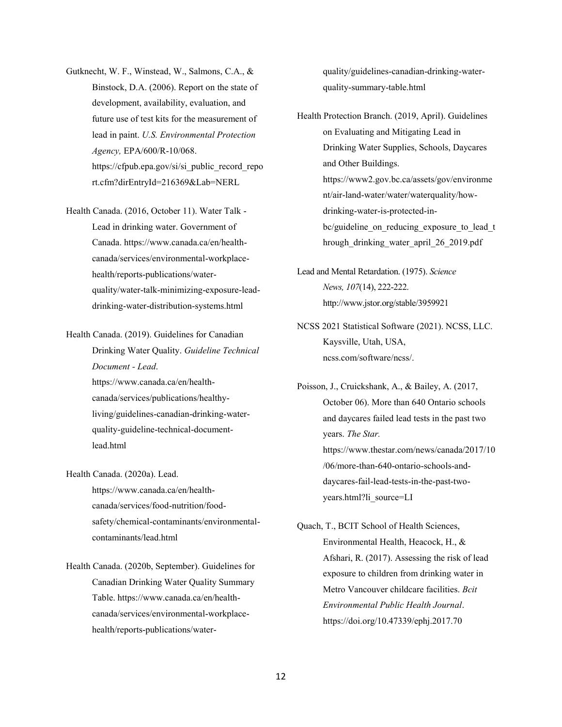- Gutknecht, W. F., Winstead, W., Salmons, C.A., & Binstock, D.A. (2006). Report on the state of development, availability, evaluation, and future use of test kits for the measurement of lead in paint. *U.S. Environmental Protection Agency,* EPA/600/R-10/068. https://cfpub.epa.gov/si/si\_public\_record\_repo rt.cfm?dirEntryId=216369&Lab=NERL
- Health Canada. (2016, October 11). Water Talk Lead in drinking water. Government of Canada. https://www.canada.ca/en/healthcanada/services/environmental-workplacehealth/reports-publications/waterquality/water-talk-minimizing-exposure-leaddrinking-water-distribution-systems.html

Health Canada. (2019). Guidelines for Canadian Drinking Water Quality. *Guideline Technical Document - Lead*. https://www.canada.ca/en/healthcanada/services/publications/healthyliving/guidelines-canadian-drinking-waterquality-guideline-technical-documentlead.html

- Health Canada. (2020a). Lead. https://www.canada.ca/en/healthcanada/services/food-nutrition/foodsafety/chemical-contaminants/environmentalcontaminants/lead.html
- Health Canada. (2020b, September). Guidelines for Canadian Drinking Water Quality Summary Table. https://www.canada.ca/en/healthcanada/services/environmental-workplacehealth/reports-publications/water-

quality/guidelines-canadian-drinking-waterquality-summary-table.html

- Health Protection Branch. (2019, April). Guidelines on Evaluating and Mitigating Lead in Drinking Water Supplies, Schools, Daycares and Other Buildings. https://www2.gov.bc.ca/assets/gov/environme nt/air-land-water/water/waterquality/howdrinking-water-is-protected-inbc/guideline\_on\_reducing\_exposure\_to\_lead\_t hrough\_drinking\_water\_april\_26\_2019.pdf
- Lead and Mental Retardation. (1975). *Science News, 107*(14), 222-222. http://www.jstor.org/stable/3959921
- NCSS 2021 Statistical Software (2021). NCSS, LLC. Kaysville, Utah, USA, ncss.com/software/ncss/.
- Poisson, J., Cruickshank, A., & Bailey, A. (2017, October 06). More than 640 Ontario schools and daycares failed lead tests in the past two years. *The Star.*  https://www.thestar.com/news/canada/2017/10 /06/more-than-640-ontario-schools-anddaycares-fail-lead-tests-in-the-past-twoyears.html?li\_source=LI
- Quach, T., BCIT School of Health Sciences, Environmental Health, Heacock, H., & Afshari, R. (2017). Assessing the risk of lead exposure to children from drinking water in Metro Vancouver childcare facilities. *Bcit Environmental Public Health Journal*. https://doi.org/10.47339/ephj.2017.70